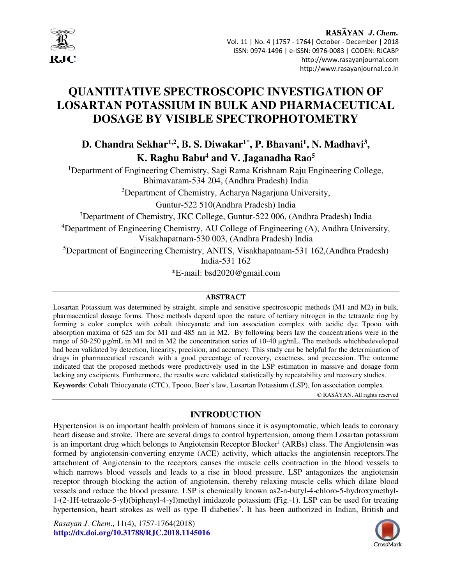

# **QUANTITATIVE SPECTROSCOPIC INVESTIGATION OF LOSARTAN POTASSIUM IN BULK AND PHARMACEUTICAL DOSAGE BY VISIBLE SPECTROPHOTOMETRY**

# **D. Chandra Sekhar1,2, B. S. Diwakar1\*, P. Bhavani<sup>1</sup> , N. Madhavi<sup>3</sup> , K. Raghu Babu<sup>4</sup> and V. Jaganadha Rao<sup>5</sup>**

<sup>1</sup>Department of Engineering Chemistry, Sagi Rama Krishnam Raju Engineering College, Bhimavaram-534 204, (Andhra Pradesh) India

<sup>2</sup>Department of Chemistry, Acharya Nagarjuna University,

Guntur-522 510(Andhra Pradesh) India

<sup>3</sup>Department of Chemistry, JKC College, Guntur-522 006, (Andhra Pradesh) India

<sup>4</sup>Department of Engineering Chemistry, AU College of Engineering (A), Andhra University, Visakhapatnam-530 003, (Andhra Pradesh) India

<sup>5</sup>Department of Engineering Chemistry, ANITS, Visakhapatnam-531 162,(Andhra Pradesh) India-531 162

\*E-mail: bsd2020@gmail.com

#### **ABSTRACT**

Losartan Potassium was determined by straight, simple and sensitive spectroscopic methods (M1 and M2) in bulk, pharmaceutical dosage forms. Those methods depend upon the nature of tertiary nitrogen in the tetrazole ring by forming a color complex with cobalt thiocyanate and ion association complex with acidic dye Tpooo with absorption maxima of 625 nm for M1 and 485 nm in M2. By following beers law the concentrations were in the range of 50-250 µg/mL in M1 and in M2 the concentration series of 10-40 µg/mL. The methods whichbedeveloped had been validated by detection, linearity, precision, and accuracy. This study can be helpful for the determination of drugs in pharmaceutical research with a good percentage of recovery, exactness, and precession. The outcome indicated that the proposed methods were productively used in the LSP estimation in massive and dosage form lacking any excipients. Furthermore, the results were validated statistically by repeatability and recovery studies. **Keywords**: Cobalt Thiocyanate (CTC), Tpooo, Beer's law, Losartan Potassium (LSP), Ion association complex.

© RASĀYAN. All rights reserved

# **INTRODUCTION**

Hypertension is an important health problem of humans since it is asymptomatic, which leads to coronary heart disease and stroke. There are several drugs to control hypertension, among them Losartan potassium is an important drug which belongs to Angiotensin Receptor Blocker<sup>1</sup> (ARBs) class. The Angiotensin was formed by angiotensin-converting enzyme (ACE) activity, which attacks the angiotensin receptors.The attachment of Angiotensin to the receptors causes the muscle cells contraction in the blood vessels to which narrows blood vessels and leads to a rise in blood pressure. LSP antagonizes the angiotensin receptor through blocking the action of angiotensin, thereby relaxing muscle cells which dilate blood vessels and reduce the blood pressure. LSP is chemically known as2-n-butyl-4-chloro-5-hydroxymethyl-1-(2-1H-tetrazole-5-yl)(biphenyl-4-yl)methyl imidazole potassium (Fig.-1). LSP can be used for treating hypertension, heart strokes as well as type II diabeties<sup>2</sup>. It has been authorized in Indian, British and

*Rasayan J. Chem*., 11(4), 1757-1764(2018) **http://dx.doi.org/10.31788/RJC.2018.1145016** 

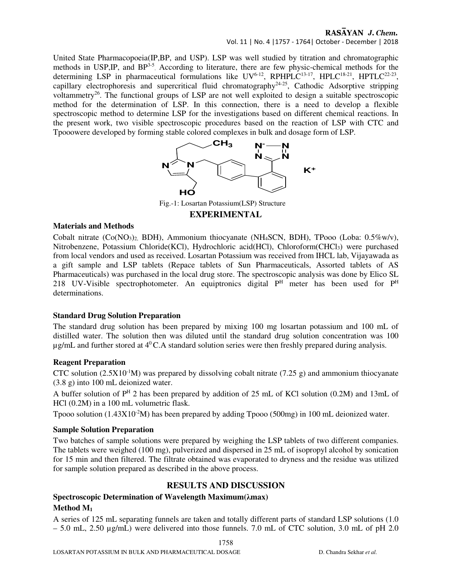Vol. 11 | No. 4 |1757 - 1764| October - December | 2018

United State Pharmacopoeia(IP,BP, and USP). LSP was well studied by titration and chromatographic methods in USP, IP, and BP<sup>3-5</sup> According to literature, there are few physic-chemical methods for the determining LSP in pharmaceutical formulations like  $UV^{6-12}$ , RPHPLC<sup>13-17</sup>, HPLC<sup>18-21</sup>, HPTLC<sup>22-23</sup>, capillary electrophoresis and supercritical fluid chromatography24-25, Cathodic Adsorptive stripping voltammetry<sup>26</sup>. The functional groups of LSP are not well exploited to design a suitable spectroscopic method for the determination of LSP. In this connection, there is a need to develop a flexible spectroscopic method to determine LSP for the investigations based on different chemical reactions. In the present work, two visible spectroscopic procedures based on the reaction of LSP with CTC and Tpooowere developed by forming stable colored complexes in bulk and dosage form of LSP.



Fig.-1: Losartan Potassium(LSP) Structure

## **EXPERIMENTAL**

#### **Materials and Methods**

Cobalt nitrate (Co(NO3)2, BDH), Ammonium thiocyanate (NH4SCN, BDH), TPooo (Loba: 0.5%w/v), Nitrobenzene, Potassium Chloride(KCl), Hydrochloric acid(HCl), Chloroform(CHCl<sub>3</sub>) were purchased from local vendors and used as received. Losartan Potassium was received from IHCL lab, Vijayawada as a gift sample and LSP tablets (Repace tablets of Sun Pharmaceuticals, Assorted tablets of AS Pharmaceuticals) was purchased in the local drug store. The spectroscopic analysis was done by Elico SL 218 UV-Visible spectrophotometer. An equiptronics digital  $P<sup>H</sup>$  meter has been used for  $P<sup>H</sup>$ determinations.

### **Standard Drug Solution Preparation**

The standard drug solution has been prepared by mixing 100 mg losartan potassium and 100 mL of distilled water. The solution then was diluted until the standard drug solution concentration was 100  $\mu$ g/mL and further stored at 4<sup>0</sup>C.A standard solution series were then freshly prepared during analysis.

### **Reagent Preparation**

CTC solution (2.5X10<sup>-1</sup>M) was prepared by dissolving cobalt nitrate (7.25 g) and ammonium thiocyanate (3.8 g) into 100 mL deionized water.

A buffer solution of  $P<sup>H</sup>$  2 has been prepared by addition of 25 mL of KCl solution (0.2M) and 13mL of HCl (0.2M) in a 100 mL volumetric flask.

Tpooo solution  $(1.43X10<sup>-2</sup>M)$  has been prepared by adding Tpooo  $(500mg)$  in 100 mL deionized water.

### **Sample Solution Preparation**

Two batches of sample solutions were prepared by weighing the LSP tablets of two different companies. The tablets were weighed (100 mg), pulverized and dispersed in 25 mL of isopropyl alcohol by sonication for 15 min and then filtered. The filtrate obtained was evaporated to dryness and the residue was utilized for sample solution prepared as described in the above process.

# **RESULTS AND DISCUSSION**

## **Spectroscopic Determination of Wavelength Maximum(λmax) Method M<sup>1</sup>**

A series of 125 mL separating funnels are taken and totally different parts of standard LSP solutions (1.0  $-5.0$  mL, 2.50  $\mu$ g/mL) were delivered into those funnels. 7.0 mL of CTC solution, 3.0 mL of pH 2.0

1758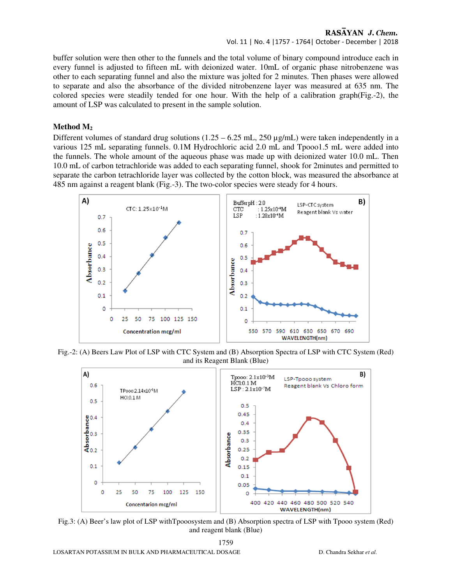Vol. 11 | No. 4 |1757 - 1764| October - December | 2018

buffer solution were then other to the funnels and the total volume of binary compound introduce each in every funnel is adjusted to fifteen mL with deionized water. 10mL of organic phase nitrobenzene was other to each separating funnel and also the mixture was jolted for 2 minutes. Then phases were allowed to separate and also the absorbance of the divided nitrobenzene layer was measured at 635 nm. The colored species were steadily tended for one hour. With the help of a calibration graph(Fig.-2), the amount of LSP was calculated to present in the sample solution.

#### **Method M<sup>2</sup>**

Different volumes of standard drug solutions  $(1.25 - 6.25 \text{ mL}, 250 \text{ µg/mL})$  were taken independently in a various 125 mL separating funnels. 0.1M Hydrochloric acid 2.0 mL and Tpooo1.5 mL were added into the funnels. The whole amount of the aqueous phase was made up with deionized water 10.0 mL. Then 10.0 mL of carbon tetrachloride was added to each separating funnel, shook for 2minutes and permitted to separate the carbon tetrachloride layer was collected by the cotton block, was measured the absorbance at 485 nm against a reagent blank (Fig.-3). The two-color species were steady for 4 hours.



Fig.-2: (A) Beers Law Plot of LSP with CTC System and (B) Absorption Spectra of LSP with CTC System (Red) and its Reagent Blank (Blue)



Fig.3: (A) Beer's law plot of LSP withTpooosystem and (B) Absorption spectra of LSP with Tpooo system (Red) and reagent blank (Blue)

1759 LOSARTAN POTASSIUM IN BULK AND PHARMACEUTICAL DOSAGE D. Chandra Sekhar *et al.*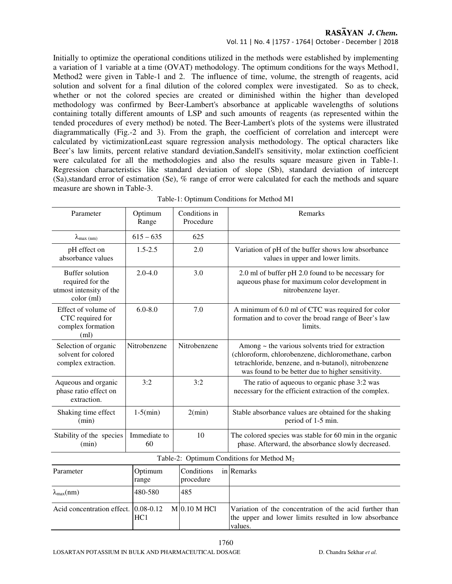#### Vol. 11 | No. 4 |1757 - 1764| October - December | 2018

Initially to optimize the operational conditions utilized in the methods were established by implementing a variation of 1 variable at a time (OVAT) methodology. The optimum conditions for the ways Method1, Method2 were given in Table-1 and 2. The influence of time, volume, the strength of reagents, acid solution and solvent for a final dilution of the colored complex were investigated. So as to check, whether or not the colored species are created or diminished within the higher than developed methodology was confirmed by Beer-Lambert's absorbance at applicable wavelengths of solutions containing totally different amounts of LSP and such amounts of reagents (as represented within the tended procedures of every method) be noted. The Beer-Lambert's plots of the systems were illustrated diagrammatically (Fig.-2 and 3). From the graph, the coefficient of correlation and intercept were calculated by victimizationLeast square regression analysis methodology. The optical characters like Beer's law limits, percent relative standard deviation,Sandell's sensitivity, molar extinction coefficient were calculated for all the methodologies and also the results square measure given in Table-1. Regression characteristics like standard deviation of slope (Sb), standard deviation of intercept (Sa),standard error of estimation (Se), % range of error were calculated for each the methods and square measure are shown in Table-3.

| Parameter                                                                           | Optimum<br>Range     | Conditions in<br>Procedure | Remarks                                                                                                                                                                                                                    |  |  |  |
|-------------------------------------------------------------------------------------|----------------------|----------------------------|----------------------------------------------------------------------------------------------------------------------------------------------------------------------------------------------------------------------------|--|--|--|
| $\lambda_{max (nm)}$                                                                | $615 - 635$          | 625                        |                                                                                                                                                                                                                            |  |  |  |
| pH effect on<br>absorbance values                                                   | $1.5 - 2.5$          | 2.0                        | Variation of pH of the buffer shows low absorbance<br>values in upper and lower limits.                                                                                                                                    |  |  |  |
| <b>Buffer solution</b><br>required for the<br>utmost intensity of the<br>color (ml) | $2.0 - 4.0$          | 3.0                        | 2.0 ml of buffer pH 2.0 found to be necessary for<br>aqueous phase for maximum color development in<br>nitrobenzene layer.                                                                                                 |  |  |  |
| Effect of volume of<br>CTC required for<br>complex formation<br>(ml)                | $6.0 - 8.0$          | 7.0                        | A minimum of 6.0 ml of CTC was required for color<br>formation and to cover the broad range of Beer's law<br>limits.                                                                                                       |  |  |  |
| Selection of organic<br>solvent for colored<br>complex extraction.                  | Nitrobenzene         | Nitrobenzene               | Among $\sim$ the various solvents tried for extraction<br>(chloroform, chlorobenzene, dichloromethane, carbon<br>tetrachloride, benzene, and n-butanol), nitrobenzene<br>was found to be better due to higher sensitivity. |  |  |  |
| Aqueous and organic<br>phase ratio effect on<br>extraction.                         | 3:2                  | 3:2                        | The ratio of aqueous to organic phase 3:2 was<br>necessary for the efficient extraction of the complex.                                                                                                                    |  |  |  |
| Shaking time effect<br>(min)                                                        | $1-5(min)$           | 2(min)                     | Stable absorbance values are obtained for the shaking<br>period of 1-5 min.                                                                                                                                                |  |  |  |
| Stability of the species<br>(min)                                                   | Immediate to<br>60   | 10                         | The colored species was stable for 60 min in the organic<br>phase. Afterward, the absorbance slowly decreased.                                                                                                             |  |  |  |
| Table-2: Optimum Conditions for Method M <sub>2</sub>                               |                      |                            |                                                                                                                                                                                                                            |  |  |  |
| Parameter                                                                           | Optimum<br>range     | Conditions<br>procedure    | in Remarks                                                                                                                                                                                                                 |  |  |  |
| $\lambda_{\max}(nm)$                                                                | 480-580              | 485                        |                                                                                                                                                                                                                            |  |  |  |
| Acid concentration effect.                                                          | $0.08 - 0.12$<br>HC1 | $M$ 0.10 M HCl             | Variation of the concentration of the acid further than<br>the upper and lower limits resulted in low absorbance<br>values.                                                                                                |  |  |  |

Table-1: Optimum Conditions for Method M1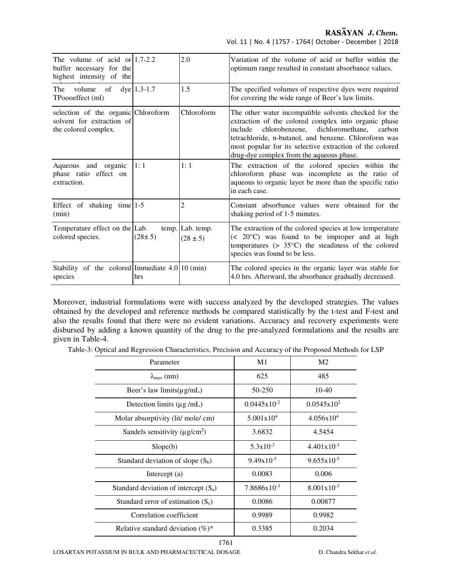Vol. 11 | No. 4 |1757 - 1764| October - December | 2018

| The volume of acid or $ 1.7-2.2 $<br>buffer necessary for the<br>highest intensity of the |               | 2.0                              | Variation of the volume of acid or buffer within the<br>optimum range resulted in constant absorbance values.                                                                                                                                                                                                                          |
|-------------------------------------------------------------------------------------------|---------------|----------------------------------|----------------------------------------------------------------------------------------------------------------------------------------------------------------------------------------------------------------------------------------------------------------------------------------------------------------------------------------|
| The<br>volume<br>of<br>TPoooeffect (ml)                                                   | $dye$ 1.3-1.7 | 1.5                              | The specified volumes of respective dyes were required<br>for covering the wide range of Beer's law limits.                                                                                                                                                                                                                            |
| selection of the organic Chloroform<br>solvent for extraction of<br>the colored complex.  |               | Chloroform                       | The other water incompatible solvents checked for the<br>extraction of the colored complex into organic phase<br>chlorobenzene, dichloromethane,<br>include<br>carbon<br>tetrachloride, n-butanol, and benzene. Chloroform was<br>most popular for its selective extraction of the colored<br>drug-dye complex from the aqueous phase. |
| Aqueous and organic<br>phase ratio effect on<br>extraction.                               | 1:1           | 1:1                              | The extraction of the colored species within the<br>chloroform phase was incomplete as the ratio of<br>aqueous to organic layer be more than the specific ratio<br>in each case.                                                                                                                                                       |
| Effect of shaking time $1-5$<br>(min)                                                     |               | 2                                | Constant absorbance values were obtained for the<br>shaking period of 1-5 minutes.                                                                                                                                                                                                                                                     |
| Temperature effect on the Lab.<br>colored species.                                        | $(28 \pm 5)$  | temp. Lab. temp.<br>$(28 \pm 5)$ | The extraction of the colored species at low temperature<br>$(< 20^{\circ}$ C) was found to be improper and at high<br>temperatures $(> 35^{\circ}C)$ the steadiness of the colored<br>species was found to be less.                                                                                                                   |
| Stability of the colored Immediate $4.0 10 \text{ (min)}$<br>species                      | hrs           |                                  | The colored species in the organic layer was stable for<br>4.0 hrs. Afterward, the absorbance gradually decreased.                                                                                                                                                                                                                     |

Moreover, industrial formulations were with success analyzed by the developed strategies. The values obtained by the developed and reference methods be compared statistically by the t-test and F-test and also the results found that there were no evident variations. Accuracy and recovery experiments were disbursed by adding a known quantity of the drug to the pre-analyzed formulations and the results are given in Table-4.

|  |  |  | Table-3: Optical and Regression Characteristics. Precision and Accuracy of the Proposed Methods for LSP |  |
|--|--|--|---------------------------------------------------------------------------------------------------------|--|
|  |  |  |                                                                                                         |  |

| Parameter                                       | M1                      | M <sub>2</sub>         |  |
|-------------------------------------------------|-------------------------|------------------------|--|
| $\lambda_{\max}$ (nm)                           | 625                     | 485                    |  |
| Beer's law limits $(\mu g/mL)$                  | 50-250                  | $10-40$                |  |
| Detection limits $(\mu g / mL)$                 | $0.0445 \times 10^{-2}$ | $0.0545x10^2$          |  |
| Molar absorptivity (lit/ mole/ cm)              | $5.001 \times 10^{4}$   | $4.056x10^{4}$         |  |
| Sandels sensitivity ( $\mu$ g/cm <sup>2</sup> ) | 3.6832                  | 4.5454                 |  |
| Slope(b)                                        | $5.3x10^{-3}$           | $4.401x10^{-3}$        |  |
| Standard deviation of slope $(S_b)$             | $9.49x10^{-5}$          | $9.655 \times 10^{-5}$ |  |
| Intercept $(a)$                                 | 0.0083                  | 0.006                  |  |
| Standard deviation of intercept $(S_a)$         | $7.8686x10^{-3}$        | $8.001x10^{-3}$        |  |
| Standard error of estimation $(S_e)$            | 0.0086                  | 0.00877                |  |
| Correlation coefficient                         | 0.9989                  | 0.9982                 |  |
| Relative standard deviation $(\%)^*$            | 0.3385                  | 0.2034                 |  |

LOSARTAN POTASSIUM IN BULK AND PHARMACEUTICAL DOSAGE D. Chandra Sekhar *et al.*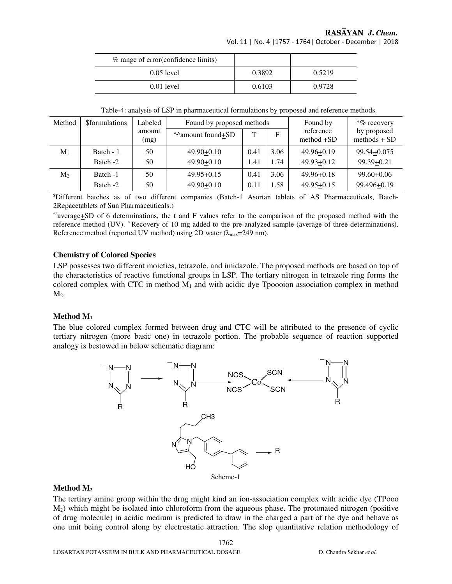Vol. 11 | No. 4 |1757 - 1764| October - December | 2018

| % range of error (confidence limits) |        |        |
|--------------------------------------|--------|--------|
| $0.05$ level                         | 0.3892 | 0.5219 |
| $0.01$ level                         | 0.6103 | 0.9728 |

Table-4: analysis of LSP in pharmaceutical formulations by proposed and reference methods.

| Method         | <b>Sformulations</b> | Labeled        | Found by proposed methods |             |      | Found by                | $*$ % recovery                  |
|----------------|----------------------|----------------|---------------------------|-------------|------|-------------------------|---------------------------------|
|                |                      | amount<br>(mg) | ^^amount found+SD         | $\mathbf T$ | F    | reference<br>method +SD | by proposed<br>methods $\pm$ SD |
| $M_1$          | Batch - 1            | 50             | $49.90 + 0.10$            | 0.41        | 3.06 | $49.96 + 0.19$          | 99.54+0.075                     |
|                | Batch -2             | 50             | $49.90 + 0.10$            | 1.41        | 1.74 | $49.93 + 0.12$          | $99.39 + 0.21$                  |
| M <sub>2</sub> | Batch -1             | 50             | $49.95 + 0.15$            | 0.41        | 3.06 | $49.96 + 0.18$          | $99.60 + 0.06$                  |
|                | Batch -2             | 50             | $49.90 + 0.10$            | 0.11        | 1.58 | $49.95 + 0.15$          | 99.496+0.19                     |

\$Different batches as of two different companies (Batch-1 Asortan tablets of AS Pharmaceuticals, Batch-2Repacetablets of Sun Pharmaceuticals.)

^^average+SD of 6 determinations, the t and F values refer to the comparison of the proposed method with the reference method (UV). \* Recovery of 10 mg added to the pre-analyzed sample (average of three determinations). Reference method (reported UV method) using 2D water ( $\lambda_{\text{max}}$ =249 nm).

#### **Chemistry of Colored Species**

LSP possesses two different moieties, tetrazole, and imidazole. The proposed methods are based on top of the characteristics of reactive functional groups in LSP. The tertiary nitrogen in tetrazole ring forms the colored complex with CTC in method  $M_1$  and with acidic dye Tpoooion association complex in method  $M<sub>2</sub>$ .

### **Method M<sup>1</sup>**

The blue colored complex formed between drug and CTC will be attributed to the presence of cyclic tertiary nitrogen (more basic one) in tetrazole portion. The probable sequence of reaction supported analogy is bestowed in below schematic diagram:



#### **Method M<sup>2</sup>**

The tertiary amine group within the drug might kind an ion-association complex with acidic dye (TPooo M2) which might be isolated into chloroform from the aqueous phase. The protonated nitrogen (positive of drug molecule) in acidic medium is predicted to draw in the charged a part of the dye and behave as one unit being control along by electrostatic attraction. The slop quantitative relation methodology of

1762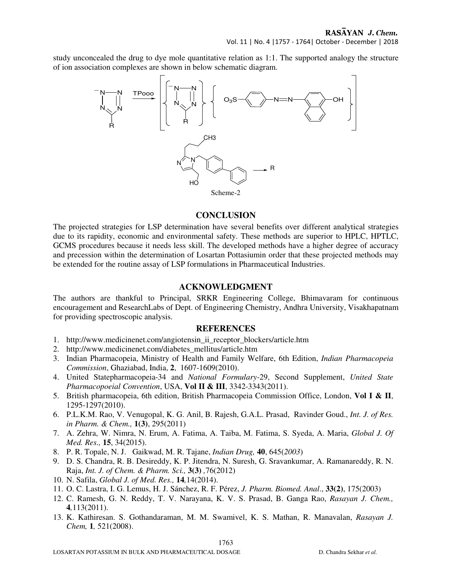study unconcealed the drug to dye mole quantitative relation as 1:1. The supported analogy the structure of ion association complexes are shown in below schematic diagram.



#### **CONCLUSION**

The projected strategies for LSP determination have several benefits over different analytical strategies due to its rapidity, economic and environmental safety. These methods are superior to HPLC, HPTLC, GCMS procedures because it needs less skill. The developed methods have a higher degree of accuracy and precession within the determination of Losartan Pottasiumin order that these projected methods may be extended for the routine assay of LSP formulations in Pharmaceutical Industries.

#### **ACKNOWLEDGMENT**

The authors are thankful to Principal, SRKR Engineering College, Bhimavaram for continuous encouragement and ResearchLabs of Dept. of Engineering Chemistry, Andhra University, Visakhapatnam for providing spectroscopic analysis.

#### **REFERENCES**

- 1. http://www.medicinenet.com/angiotensin\_ii\_receptor\_blockers/article.htm
- 2. http://www.medicinenet.com/diabetes\_mellitus/article.htm
- 3. Indian Pharmacopeia, Ministry of Health and Family Welfare, 6th Edition, *Indian Pharmacopeia Commission*, Ghaziabad, India, **2**, 1607-1609(2010).
- 4. United Statepharmacopeia-34 and *National Formulary*-29, Second Supplement, *United State Pharmacopoeial Convention*, USA, **Vol II & III**, 3342-3343(2011).
- 5. British pharmacopeia, 6th edition, British Pharmacopeia Commission Office, London, **Vol I & II**, 1295-1297(2010).
- 6. P.L.K.M. Rao, V. Venugopal, K. G. Anil, B. Rajesh, G.A.L. Prasad, Ravinder Goud., *Int. J. of Res. in Pharm. & Chem.,* **1(3)**, 295(2011)
- 7. A. Zehra, W. Nimra, N. Erum, A. Fatima, A. Taiba, M. Fatima, S. Syeda, A. Maria, *Global J. Of Med. Res.,* **15**, 34(2015).
- 8. P. R. Topale, N. J. Gaikwad, M. R. Tajane, *Indian Drug,* **40**, 645(*2003*)
- 9. D. S. Chandra, R. B. Desireddy, K. P. Jitendra, N. Suresh, G. Sravankumar, A. Ramanareddy, R. N. Raja, *Int. J. of Chem. & Pharm. Sci.,* **3(3)** *,*76(2012)
- 10. N. Safila, *Global J. of Med. Res.,* **14***,*14(2014).
- 11. O. C. Lastra, I. G. Lemus, H. J. Sánchez, R. F. Pérez, *J. Pharm. Biomed. Anal*., **33(2)**, 175(2003)
- 12. C. Ramesh, G. N. Reddy, T. V. Narayana, K. V. S. Prasad, B. Ganga Rao, *Rasayan J. Chem.,*  **4***,*113(2011).
- 13. K. Kathiresan. S. Gothandaraman, M. M. Swamivel, K. S. Mathan, R. Manavalan, *Rasayan J. Chem,* **1***,* 521(2008).